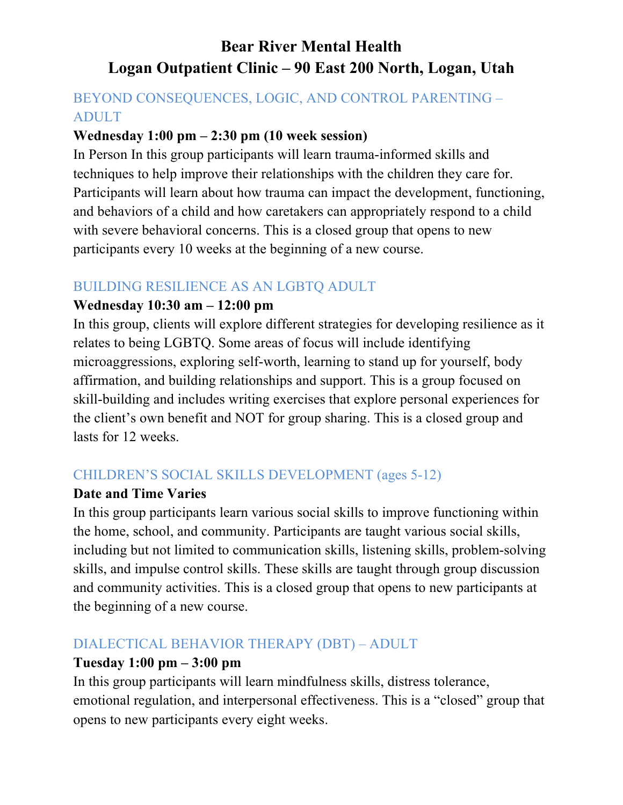# **Bear River Mental Health Logan Outpatient Clinic – 90 East 200 North, Logan, Utah**

# BEYOND CONSEQUENCES, LOGIC, AND CONTROL PARENTING – ADULT

#### **Wednesday 1:00 pm – 2:30 pm (10 week session)**

In Person In this group participants will learn trauma-informed skills and techniques to help improve their relationships with the children they care for. Participants will learn about how trauma can impact the development, functioning, and behaviors of a child and how caretakers can appropriately respond to a child with severe behavioral concerns. This is a closed group that opens to new participants every 10 weeks at the beginning of a new course.

# BUILDING RESILIENCE AS AN LGBTQ ADULT

#### **Wednesday 10:30 am – 12:00 pm**

In this group, clients will explore different strategies for developing resilience as it relates to being LGBTQ. Some areas of focus will include identifying microaggressions, exploring self-worth, learning to stand up for yourself, body affirmation, and building relationships and support. This is a group focused on skill-building and includes writing exercises that explore personal experiences for the client's own benefit and NOT for group sharing. This is a closed group and lasts for 12 weeks.

# CHILDREN'S SOCIAL SKILLS DEVELOPMENT (ages 5-12)

#### **Date and Time Varies**

In this group participants learn various social skills to improve functioning within the home, school, and community. Participants are taught various social skills, including but not limited to communication skills, listening skills, problem-solving skills, and impulse control skills. These skills are taught through group discussion and community activities. This is a closed group that opens to new participants at the beginning of a new course.

# DIALECTICAL BEHAVIOR THERAPY (DBT) – ADULT

#### **Tuesday 1:00 pm – 3:00 pm**

In this group participants will learn mindfulness skills, distress tolerance, emotional regulation, and interpersonal effectiveness. This is a "closed" group that opens to new participants every eight weeks.